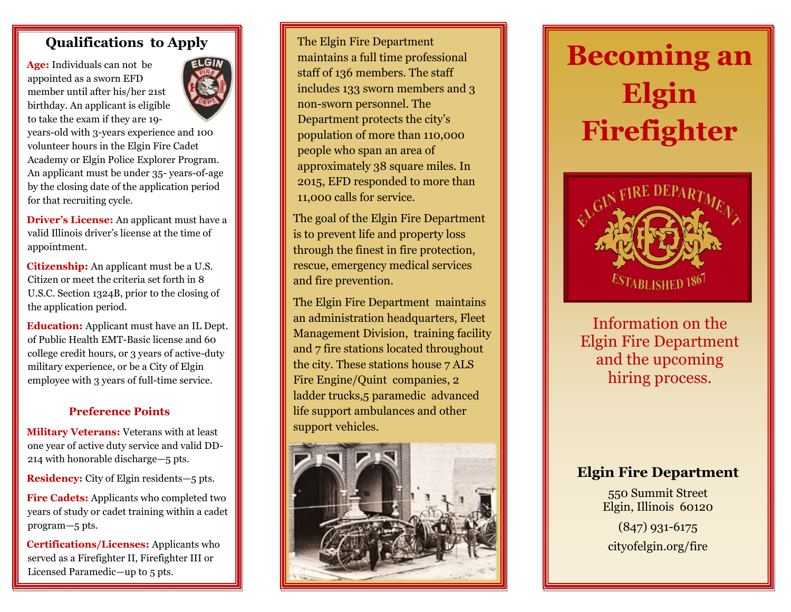## **Qualifications to Apply**

**Age:** Individuals can not be appointed as a sworn EFD member until after his/her 21st birthday. An applicant is eligible to take the exam if they are 19-



years-old with 3-years experience and 100 volunteer hours in the Elgin Fire Cadet Academy or Elgin Police Explorer Program. An applicant must be under 35- years-of-age by the closing date of the application period for that recruiting cycle.

**Driver's License:** An applicant must have a valid Illinois driver's license at the time of appointment.

**Citizenship:** An applicant must be a U.S. Citizen or meet the criteria set forth in 8 U.S.C. Section 1324B, prior to the closing of the application period.

**Education:** Applicant must have an IL Dept. of Public Health EMT-Basic license and 60 college credit hours, or 3 years of active-duty military experience, or be a City of Elgin employee with 3 years of full-time service.

#### **Preference Points**

**Military Veterans:** Veterans with at least one year of active duty service and valid DD-214 with honorable discharge—5 pts.

**Residency:** City of Elgin residents—5 pts.

**Fire Cadets:** Applicants who completed two years of study or cadet training within a cadet program—5 pts.

**Certifications/Licenses:** Applicants who served as a Firefighter II, Firefighter III or Licensed Paramedic—up to 5 pts.

The Elgin Fire Department maintains a full time professional staff of 136 members. The staff includes 133 sworn members and 3 non-sworn personnel. The Department protects the city's population of more than 110,000 people who span an area of approximately 38 square miles. In 2015, EFD responded to more than 11,000 calls for service.

The goal of the Elgin Fire Department is to prevent life and property loss through the finest in fire protection, rescue, emergency medical services and fire prevention.

The Elgin Fire Department maintains an administration headquarters, Fleet Management Division, training facility and 7 fire stations located throughout the city. These stations house 7 ALS Fire Engine/Quint companies, 2 ladder trucks,5 paramedic advanced life support ambulances and other support vehicles.



# **Becoming an Elgin Firefighter**



Information on the Elgin Fire Department and the upcoming hiring process.

# **Elgin Fire Department**

550 Summit Street Elgin, Illinois 60120

(847) 931-6175 cityofelgin.org/fire